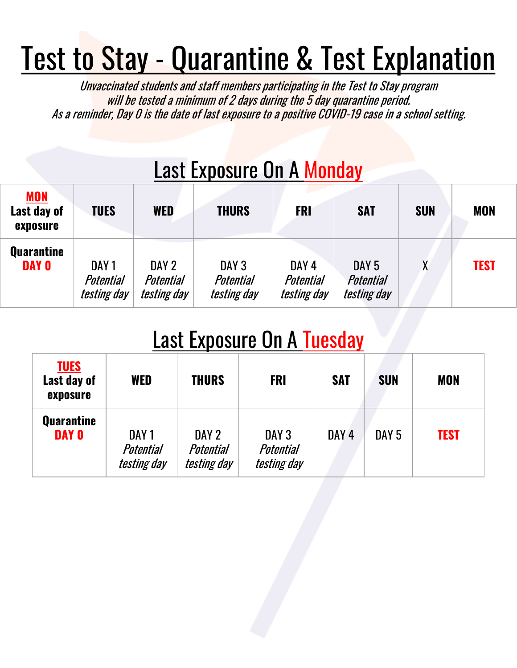## Test to Stay - Quarantine & Test Explanation

Unvaccinated students and staff members participating in the Test to Stay program will be tested a minimum of 2 days during the 5 day quarantine period. As a reminder, Day 0 is the date of last exposure to a positive COVID-19 case in a school setting.

| <b>Last Exposure On A Monday</b> |
|----------------------------------|
|----------------------------------|

| <b>MON</b><br>Last day of<br>exposure | <b>TUES</b>                                                | WED                                      | <b>THURS</b>                                 | <b>FRI</b>                                   | <b>SAT</b>                                   | <b>SUN</b> | <b>MON</b>  |
|---------------------------------------|------------------------------------------------------------|------------------------------------------|----------------------------------------------|----------------------------------------------|----------------------------------------------|------------|-------------|
| <b>Quarantine</b><br><b>DAY O</b>     | DAY <sub>1</sub><br><b>Potential</b><br><i>testing day</i> | DAY 2<br>Potential<br><i>testing day</i> | DAY <sub>3</sub><br>Potential<br>testing day | DAY <sub>4</sub><br>Potential<br>testing day | DAY <sub>5</sub><br>Potential<br>testing day | χ          | <b>TEST</b> |

### Last Exposure On A Tuesday

| <b>TUES</b><br>Last day of<br>exposure | <b>WED</b>                               | <b>THURS</b>                             | <b>FRI</b>                                          | <b>SAT</b>       | <b>SUN</b>       | <b>MON</b>  |
|----------------------------------------|------------------------------------------|------------------------------------------|-----------------------------------------------------|------------------|------------------|-------------|
| <b>Quarantine</b><br><b>DAY O</b>      | DAY 1<br><b>Potential</b><br>testing day | DAY 2<br><b>Potential</b><br>testing day | DAY <sub>3</sub><br><b>Potential</b><br>testing day | DAY <sub>4</sub> | DAY <sub>5</sub> | <b>TEST</b> |